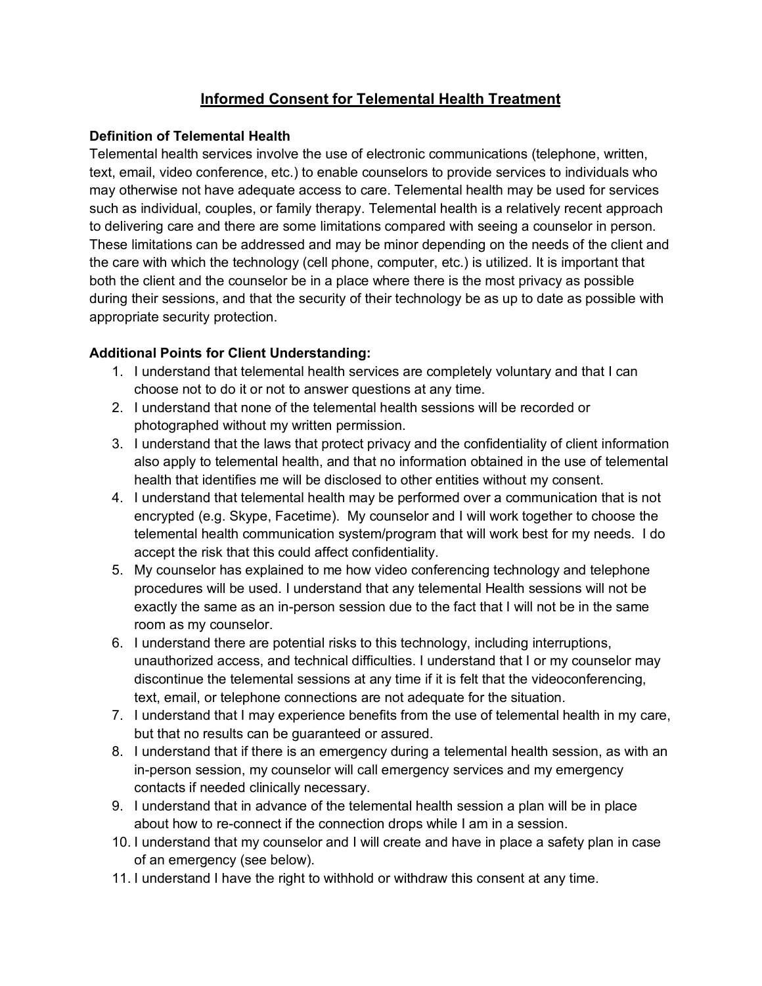## **Informed Consent for Telemental Health Treatment**

### **Definition of Telemental Health**

Telemental health services involve the use of electronic communications (telephone, written, text, email, video conference, etc.) to enable counselors to provide services to individuals who may otherwise not have adequate access to care. Telemental health may be used for services such as individual, couples, or family therapy. Telemental health is a relatively recent approach to delivering care and there are some limitations compared with seeing a counselor in person. These limitations can be addressed and may be minor depending on the needs of the client and the care with which the technology (cell phone, computer, etc.) is utilized. It is important that both the client and the counselor be in a place where there is the most privacy as possible during their sessions, and that the security of their technology be as up to date as possible with appropriate security protection.

## **Additional Points for Client Understanding:**

- 1. I understand that telemental health services are completely voluntary and that I can choose not to do it or not to answer questions at any time.
- 2. I understand that none of the telemental health sessions will be recorded or photographed without my written permission.
- 3. I understand that the laws that protect privacy and the confidentiality of client information also apply to telemental health, and that no information obtained in the use of telemental health that identifies me will be disclosed to other entities without my consent.
- 4. I understand that telemental health may be performed over a communication that is not encrypted (e.g. Skype, Facetime). My counselor and I will work together to choose the telemental health communication system/program that will work best for my needs. I do accept the risk that this could affect confidentiality.
- 5. My counselor has explained to me how video conferencing technology and telephone procedures will be used. I understand that any telemental Health sessions will not be exactly the same as an in-person session due to the fact that I will not be in the same room as my counselor.
- 6. I understand there are potential risks to this technology, including interruptions, unauthorized access, and technical difficulties. I understand that I or my counselor may discontinue the telemental sessions at any time if it is felt that the videoconferencing, text, email, or telephone connections are not adequate for the situation.
- 7. I understand that I may experience benefits from the use of telemental health in my care, but that no results can be guaranteed or assured.
- 8. I understand that if there is an emergency during a telemental health session, as with an in-person session, my counselor will call emergency services and my emergency contacts if needed clinically necessary.
- 9. I understand that in advance of the telemental health session a plan will be in place about how to re-connect if the connection drops while I am in a session.
- 10. I understand that my counselor and I will create and have in place a safety plan in case of an emergency (see below).
- 11. I understand I have the right to withhold or withdraw this consent at any time.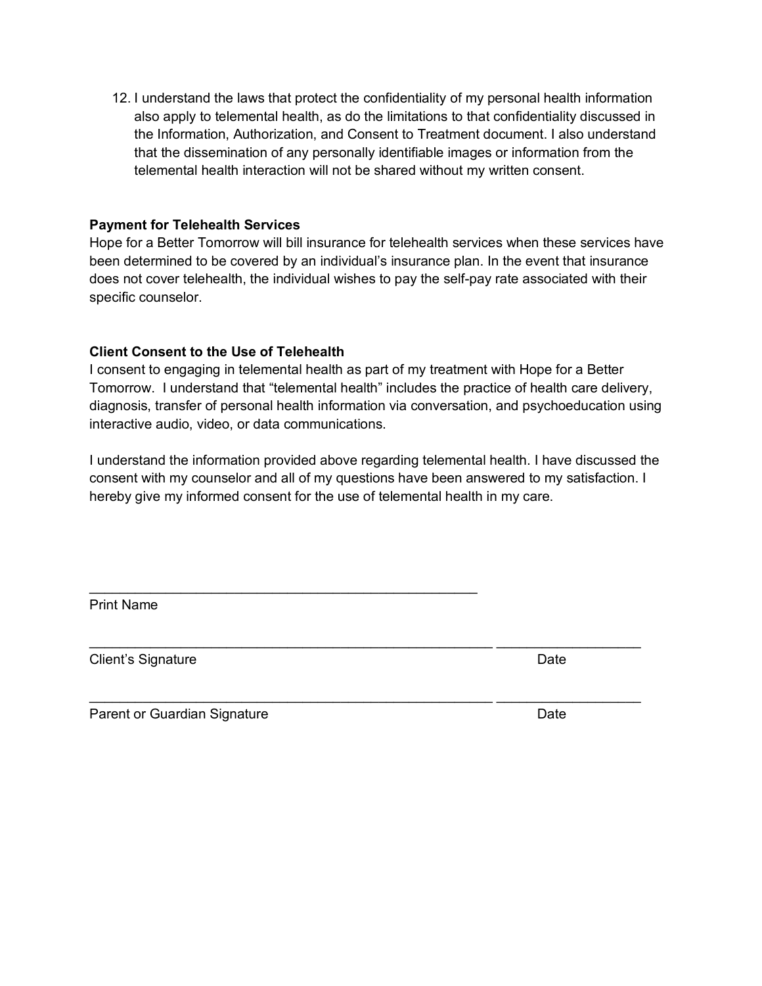12. I understand the laws that protect the confidentiality of my personal health information also apply to telemental health, as do the limitations to that confidentiality discussed in the Information, Authorization, and Consent to Treatment document. I also understand that the dissemination of any personally identifiable images or information from the telemental health interaction will not be shared without my written consent.

#### **Payment for Telehealth Services**

Hope for a Better Tomorrow will bill insurance for telehealth services when these services have been determined to be covered by an individual's insurance plan. In the event that insurance does not cover telehealth, the individual wishes to pay the self-pay rate associated with their specific counselor.

#### **Client Consent to the Use of Telehealth**

I consent to engaging in telemental health as part of my treatment with Hope for a Better Tomorrow. I understand that "telemental health" includes the practice of health care delivery, diagnosis, transfer of personal health information via conversation, and psychoeducation using interactive audio, video, or data communications.

I understand the information provided above regarding telemental health. I have discussed the consent with my counselor and all of my questions have been answered to my satisfaction. I hereby give my informed consent for the use of telemental health in my care.

 $\_$  , and the state of the state of the state of the state of the state of the state of the state of the state of the state of the state of the state of the state of the state of the state of the state of the state of the

 $\_$  , and the state of the state of the state of the state of the state of the state of the state of the state of the state of the state of the state of the state of the state of the state of the state of the state of the

Print Name

Client's Signature **Date** 

Parent or Guardian Signature **Date** Date **Date**